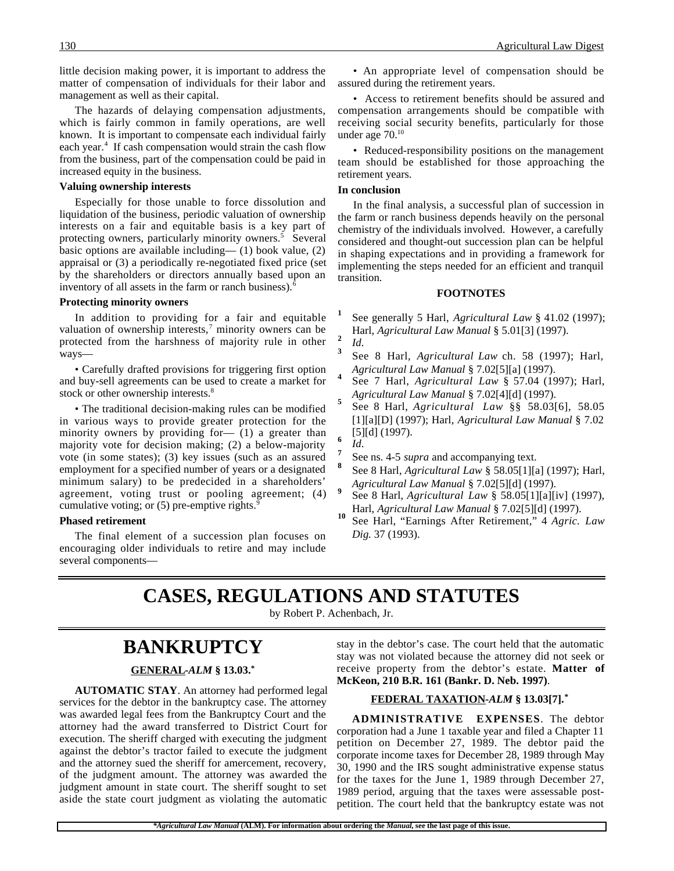little decision making power, it is important to address the matter of compensation of individuals for their labor and management as well as their capital.

The hazards of delaying compensation adjustments, which is fairly common in family operations, are well known. It is important to compensate each individual fairly each year.<sup>4</sup> If cash compensation would strain the cash flow from the business, part of the compensation could be paid in increased equity in the business.

#### **Valuing ownership interests**

Especially for those unable to force dissolution and liquidation of the business, periodic valuation of ownership interests on a fair and equitable basis is a key part of protecting owners, particularly minority owners.<sup>5</sup> Several basic options are available including— (1) book value, (2) appraisal or (3) a periodically re-negotiated fixed price (set by the shareholders or directors annually based upon an inventory of all assets in the farm or ranch business).<sup>6</sup>

#### **Protecting minority owners**

In addition to providing for a fair and equitable valuation of ownership interests,<sup>7</sup> minority owners can be protected from the harshness of majority rule in other ways—

• Carefully drafted provisions for triggering first option and buy-sell agreements can be used to create a market for stock or other ownership interests.<sup>8</sup>

• The traditional decision-making rules can be modified in various ways to provide greater protection for the minority owners by providing for— (1) a greater than majority vote for decision making; (2) a below-majority vote (in some states); (3) key issues (such as an assured employment for a specified number of years or a designated minimum salary) to be predecided in a shareholders' agreement, voting trust or pooling agreement; (4) cumulative voting; or  $(5)$  pre-emptive rights.<sup>9</sup>

## **Phased retirement**

The final element of a succession plan focuses on encouraging older individuals to retire and may include several components—

• An appropriate level of compensation should be assured during the retirement years.

• Access to retirement benefits should be assured and compensation arrangements should be compatible with receiving social security benefits, particularly for those under age 70.10

• Reduced-responsibility positions on the management team should be established for those approaching the retirement years.

#### **In conclusion**

In the final analysis, a successful plan of succession in the farm or ranch business depends heavily on the personal chemistry of the individuals involved. However, a carefully considered and thought-out succession plan can be helpful in shaping expectations and in providing a framework for implementing the steps needed for an efficient and tranquil transition.

#### **FOOTNOTES**

- **<sup>1</sup>** See generally 5 Harl, *Agricultural Law* § 41.02 (1997);
- 
- Harl, *Agricultural Law Manual* § 5.01[3] (1997). **<sup>2</sup>** *Id*. **<sup>3</sup>** See 8 Harl, *Agricultural Law* ch. 58 (1997); Harl,
- *Agricultural Law Manual* § 7.02[5][a] (1997).<br>See 7 Harl, *Agricultural Law* § 57.04 (1997); Harl,
- *Agricultural Law Manual* § 7.02[4][d] (1997). **<sup>5</sup>** See 8 Harl, *Agricultural Law* §§ 58.03[6], 58.05 [1][a][D] (1997); Harl, *Agricultural Law Manual* § 7.02  $\begin{bmatrix} 5 \\ 1 \end{bmatrix}$  **6**  $\begin{bmatrix} 5 \\ 1 \end{bmatrix}$  **6** *Id.* **8** See ns. 4-5 *supra* and accompanying text.
- 
- 
- **<sup>8</sup>** See 8 Harl, *Agricultural Law* § 58.05[1][a] (1997); Harl,
- *Agricultural Law Manual* § 7.02[5][d] (1997). **<sup>9</sup>** See 8 Harl, *Agricultural Law* § 58.05[1][a][iv] (1997),
- Harl, *Agricultural Law Manual* § 7.02[5][d] (1997). **<sup>10</sup>** See Harl, "Earnings After Retirement," 4 *Agric. Law Dig.* 37 (1993).

## **CASES, REGULATIONS AND STATUTES**

by Robert P. Achenbach, Jr.

## **BANKRUPTCY**

## **GENERAL -***ALM* **§ 13.03.\***

**AUTOMATIC STAY**. An attorney had performed legal services for the debtor in the bankruptcy case. The attorney was awarded legal fees from the Bankruptcy Court and the attorney had the award transferred to District Court for execution. The sheriff charged with executing the judgment against the debtor's tractor failed to execute the judgment and the attorney sued the sheriff for amercement, recovery, of the judgment amount. The attorney was awarded the judgment amount in state court. The sheriff sought to set aside the state court judgment as violating the automatic

stay in the debtor's case. The court held that the automatic stay was not violated because the attorney did not seek or receive property from the debtor's estate. **Matter of McKeon, 210 B.R. 161 (Bankr. D. Neb. 1997)**.

## **FEDERAL TAXATION -***ALM* **§ 13.03[7].\***

**ADMINISTRATIVE EXPENSES**. The debtor corporation had a June 1 taxable year and filed a Chapter 11 petition on December 27, 1989. The debtor paid the corporate income taxes for December 28, 1989 through May 30, 1990 and the IRS sought administrative expense status for the taxes for the June 1, 1989 through December 27, 1989 period, arguing that the taxes were assessable postpetition. The court held that the bankruptcy estate was not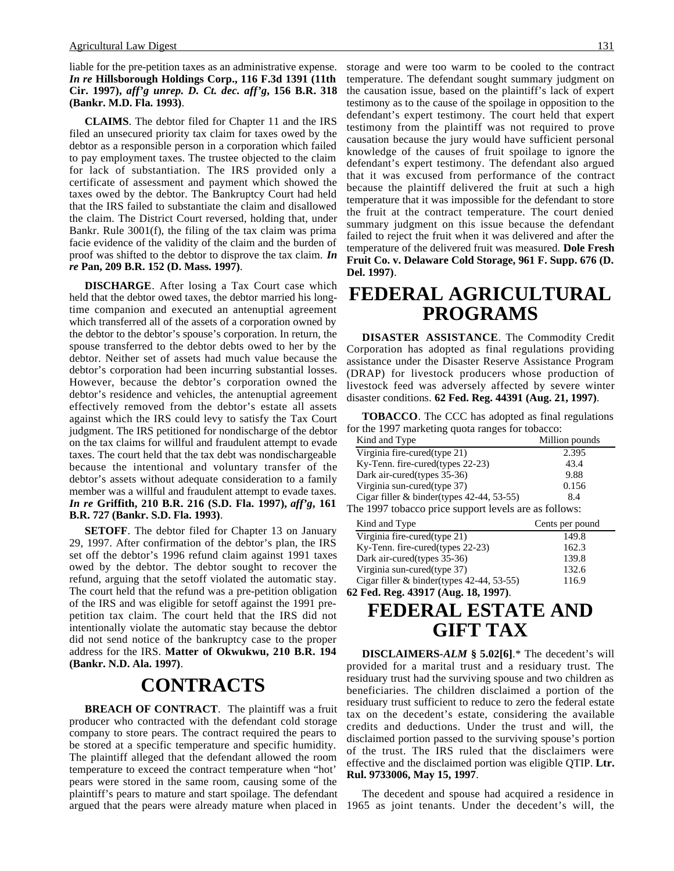liable for the pre-petition taxes as an administrative expense. *In re* **Hillsborough Holdings Corp., 116 F.3d 1391 (11th Cir. 1997),** *aff'g unrep. D. Ct. dec. aff'g***, 156 B.R. 318 (Bankr. M.D. Fla. 1993)**.

**CLAIMS**. The debtor filed for Chapter 11 and the IRS filed an unsecured priority tax claim for taxes owed by the debtor as a responsible person in a corporation which failed to pay employment taxes. The trustee objected to the claim for lack of substantiation. The IRS provided only a certificate of assessment and payment which showed the taxes owed by the debtor. The Bankruptcy Court had held that the IRS failed to substantiate the claim and disallowed the claim. The District Court reversed, holding that, under Bankr. Rule 3001(f), the filing of the tax claim was prima facie evidence of the validity of the claim and the burden of proof was shifted to the debtor to disprove the tax claim. *In re* **Pan, 209 B.R. 152 (D. Mass. 1997)**.

**DISCHARGE**. After losing a Tax Court case which held that the debtor owed taxes, the debtor married his longtime companion and executed an antenuptial agreement which transferred all of the assets of a corporation owned by the debtor to the debtor's spouse's corporation. In return, the spouse transferred to the debtor debts owed to her by the debtor. Neither set of assets had much value because the debtor's corporation had been incurring substantial losses. However, because the debtor's corporation owned the debtor's residence and vehicles, the antenuptial agreement effectively removed from the debtor's estate all assets against which the IRS could levy to satisfy the Tax Court judgment. The IRS petitioned for nondischarge of the debtor on the tax claims for willful and fraudulent attempt to evade taxes. The court held that the tax debt was nondischargeable because the intentional and voluntary transfer of the debtor's assets without adequate consideration to a family member was a willful and fraudulent attempt to evade taxes. *In re* **Griffith, 210 B.R. 216 (S.D. Fla. 1997),** *aff'g***, 161 B.R. 727 (Bankr. S.D. Fla. 1993)**.

**SETOFF**. The debtor filed for Chapter 13 on January 29, 1997. After confirmation of the debtor's plan, the IRS set off the debtor's 1996 refund claim against 1991 taxes owed by the debtor. The debtor sought to recover the refund, arguing that the setoff violated the automatic stay. The court held that the refund was a pre-petition obligation of the IRS and was eligible for setoff against the 1991 prepetition tax claim. The court held that the IRS did not intentionally violate the automatic stay because the debtor did not send notice of the bankruptcy case to the proper address for the IRS. **Matter of Okwukwu, 210 B.R. 194 (Bankr. N.D. Ala. 1997)**.

## **CONTRACTS**

**BREACH OF CONTRACT**. The plaintiff was a fruit producer who contracted with the defendant cold storage company to store pears. The contract required the pears to be stored at a specific temperature and specific humidity. The plaintiff alleged that the defendant allowed the room temperature to exceed the contract temperature when "hot' pears were stored in the same room, causing some of the plaintiff's pears to mature and start spoilage. The defendant argued that the pears were already mature when placed in

storage and were too warm to be cooled to the contract temperature. The defendant sought summary judgment on the causation issue, based on the plaintiff's lack of expert testimony as to the cause of the spoilage in opposition to the defendant's expert testimony. The court held that expert testimony from the plaintiff was not required to prove causation because the jury would have sufficient personal knowledge of the causes of fruit spoilage to ignore the defendant's expert testimony. The defendant also argued that it was excused from performance of the contract because the plaintiff delivered the fruit at such a high temperature that it was impossible for the defendant to store the fruit at the contract temperature. The court denied summary judgment on this issue because the defendant failed to reject the fruit when it was delivered and after the temperature of the delivered fruit was measured. **Dole Fresh Fruit Co. v. Delaware Cold Storage, 961 F. Supp. 676 (D. Del. 1997)**.

## **FEDERAL AGRICULTURAL PROGRAMS**

**DISASTER ASSISTANCE**. The Commodity Credit Corporation has adopted as final regulations providing assistance under the Disaster Reserve Assistance Program (DRAP) for livestock producers whose production of livestock feed was adversely affected by severe winter disaster conditions. **62 Fed. Reg. 44391 (Aug. 21, 1997)**.

**TOBACCO**. The CCC has adopted as final regulations for the 1997 marketing quota ranges for tobacco:

| Kind and Type                                         | Million pounds |  |  |  |
|-------------------------------------------------------|----------------|--|--|--|
| Virginia fire-cured(type 21)                          | 2.395          |  |  |  |
| Ky-Tenn. fire-cured(types $22-23$ )                   | 43.4           |  |  |  |
| Dark air-cured(types 35-36)                           | 9.88           |  |  |  |
| Virginia sun-cured(type 37)                           | 0.156          |  |  |  |
| Cigar filler & binder(types 42-44, 53-55)             | 8.4            |  |  |  |
| The 1997 tobacco price support levels are as follows: |                |  |  |  |

| Kind and Type                                | Cents per pound |  |
|----------------------------------------------|-----------------|--|
| Virginia fire-cured(type 21)                 | 149.8           |  |
| Ky-Tenn. fire-cured(types 22-23)             | 162.3           |  |
| Dark air-cured(types 35-36)                  | 139.8           |  |
| Virginia sun-cured(type 37)                  | 132.6           |  |
| Cigar filler & binder(types $42-44$ , 53-55) | 116.9           |  |
| 62 Fed. Reg. 43917 (Aug. 18, 1997).          |                 |  |

## **FEDERAL ESTATE AND GIFT TAX**

**DISCLAIMERS-***ALM* **§ 5.02[6]**.\* The decedent's will provided for a marital trust and a residuary trust. The residuary trust had the surviving spouse and two children as beneficiaries. The children disclaimed a portion of the residuary trust sufficient to reduce to zero the federal estate tax on the decedent's estate, considering the available credits and deductions. Under the trust and will, the disclaimed portion passed to the surviving spouse's portion of the trust. The IRS ruled that the disclaimers were effective and the disclaimed portion was eligible QTIP. **Ltr. Rul. 9733006, May 15, 1997**.

The decedent and spouse had acquired a residence in 1965 as joint tenants. Under the decedent's will, the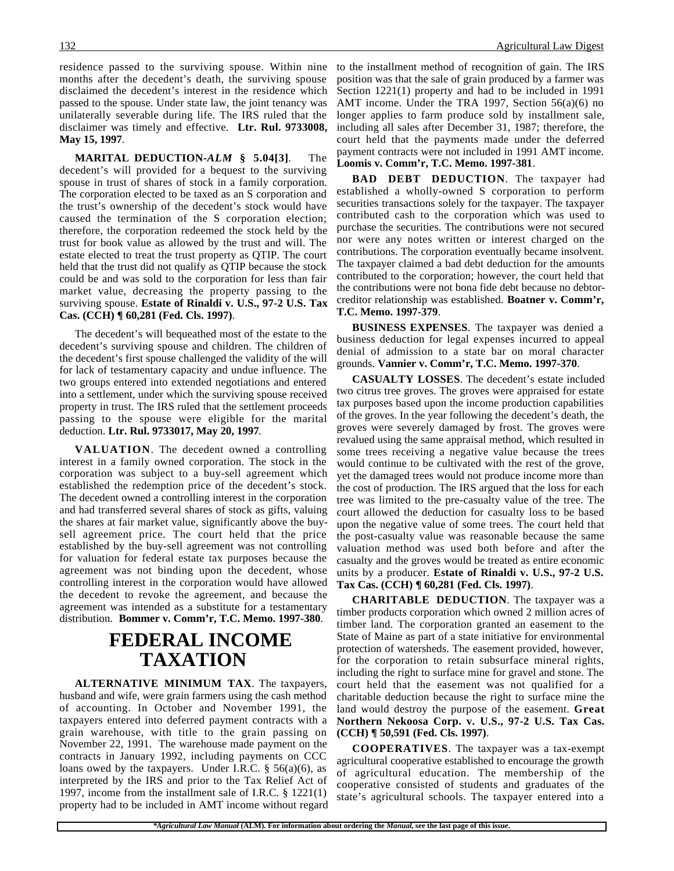residence passed to the surviving spouse. Within nine months after the decedent's death, the surviving spouse disclaimed the decedent's interest in the residence which passed to the spouse. Under state law, the joint tenancy was unilaterally severable during life. The IRS ruled that the disclaimer was timely and effective. **Ltr. Rul. 9733008, May 15, 1997**.

**MARITAL DEDUCTION-***ALM* **§ 5.04[3]**. The decedent's will provided for a bequest to the surviving spouse in trust of shares of stock in a family corporation. The corporation elected to be taxed as an S corporation and the trust's ownership of the decedent's stock would have caused the termination of the S corporation election; therefore, the corporation redeemed the stock held by the trust for book value as allowed by the trust and will. The estate elected to treat the trust property as QTIP. The court held that the trust did not qualify as QTIP because the stock could be and was sold to the corporation for less than fair market value, decreasing the property passing to the surviving spouse. **Estate of Rinaldi v. U.S., 97-2 U.S. Tax Cas. (CCH) ¶ 60,281 (Fed. Cls. 1997)**.

The decedent's will bequeathed most of the estate to the decedent's surviving spouse and children. The children of the decedent's first spouse challenged the validity of the will for lack of testamentary capacity and undue influence. The two groups entered into extended negotiations and entered into a settlement, under which the surviving spouse received property in trust. The IRS ruled that the settlement proceeds passing to the spouse were eligible for the marital deduction. **Ltr. Rul. 9733017, May 20, 1997**.

**VALUATION**. The decedent owned a controlling interest in a family owned corporation. The stock in the corporation was subject to a buy-sell agreement which established the redemption price of the decedent's stock. The decedent owned a controlling interest in the corporation and had transferred several shares of stock as gifts, valuing the shares at fair market value, significantly above the buysell agreement price. The court held that the price established by the buy-sell agreement was not controlling for valuation for federal estate tax purposes because the agreement was not binding upon the decedent, whose controlling interest in the corporation would have allowed the decedent to revoke the agreement, and because the agreement was intended as a substitute for a testamentary distribution. **Bommer v. Comm'r, T.C. Memo. 1997-380**.

## **FEDERAL INCOME TAXATION**

**ALTERNATIVE MINIMUM TAX**. The taxpayers, husband and wife, were grain farmers using the cash method of accounting. In October and November 1991, the taxpayers entered into deferred payment contracts with a grain warehouse, with title to the grain passing on November 22, 1991. The warehouse made payment on the contracts in January 1992, including payments on CCC loans owed by the taxpayers. Under I.R.C. § 56(a)(6), as interpreted by the IRS and prior to the Tax Relief Act of 1997, income from the installment sale of I.R.C. § 1221(1) property had to be included in AMT income without regard

to the installment method of recognition of gain. The IRS position was that the sale of grain produced by a farmer was Section 1221(1) property and had to be included in 1991 AMT income. Under the TRA 1997, Section 56(a)(6) no longer applies to farm produce sold by installment sale, including all sales after December 31, 1987; therefore, the court held that the payments made under the deferred payment contracts were not included in 1991 AMT income. **Loomis v. Comm'r, T.C. Memo. 1997-381**.

**BAD DEBT DEDUCTION**. The taxpayer had established a wholly-owned S corporation to perform securities transactions solely for the taxpayer. The taxpayer contributed cash to the corporation which was used to purchase the securities. The contributions were not secured nor were any notes written or interest charged on the contributions. The corporation eventually became insolvent. The taxpayer claimed a bad debt deduction for the amounts contributed to the corporation; however, the court held that the contributions were not bona fide debt because no debtorcreditor relationship was established. **Boatner v. Comm'r, T.C. Memo. 1997-379**.

**BUSINESS EXPENSES**. The taxpayer was denied a business deduction for legal expenses incurred to appeal denial of admission to a state bar on moral character grounds. **Vannier v. Comm'r, T.C. Memo. 1997-370**.

**CASUALTY LOSSES**. The decedent's estate included two citrus tree groves. The groves were appraised for estate tax purposes based upon the income production capabilities of the groves. In the year following the decedent's death, the groves were severely damaged by frost. The groves were revalued using the same appraisal method, which resulted in some trees receiving a negative value because the trees would continue to be cultivated with the rest of the grove, yet the damaged trees would not produce income more than the cost of production. The IRS argued that the loss for each tree was limited to the pre-casualty value of the tree. The court allowed the deduction for casualty loss to be based upon the negative value of some trees. The court held that the post-casualty value was reasonable because the same valuation method was used both before and after the casualty and the groves would be treated as entire economic units by a producer. **Estate of Rinaldi v. U.S., 97-2 U.S. Tax Cas. (CCH) ¶ 60,281 (Fed. Cls. 1997)**.

**CHARITABLE DEDUCTION**. The taxpayer was a timber products corporation which owned 2 million acres of timber land. The corporation granted an easement to the State of Maine as part of a state initiative for environmental protection of watersheds. The easement provided, however, for the corporation to retain subsurface mineral rights, including the right to surface mine for gravel and stone. The court held that the easement was not qualified for a charitable deduction because the right to surface mine the land would destroy the purpose of the easement. **Great Northern Nekoosa Corp. v. U.S., 97-2 U.S. Tax Cas. (CCH) ¶ 50,591 (Fed. Cls. 1997)**.

**COOPERATIVES**. The taxpayer was a tax-exempt agricultural cooperative established to encourage the growth of agricultural education. The membership of the cooperative consisted of students and graduates of the state's agricultural schools. The taxpayer entered into a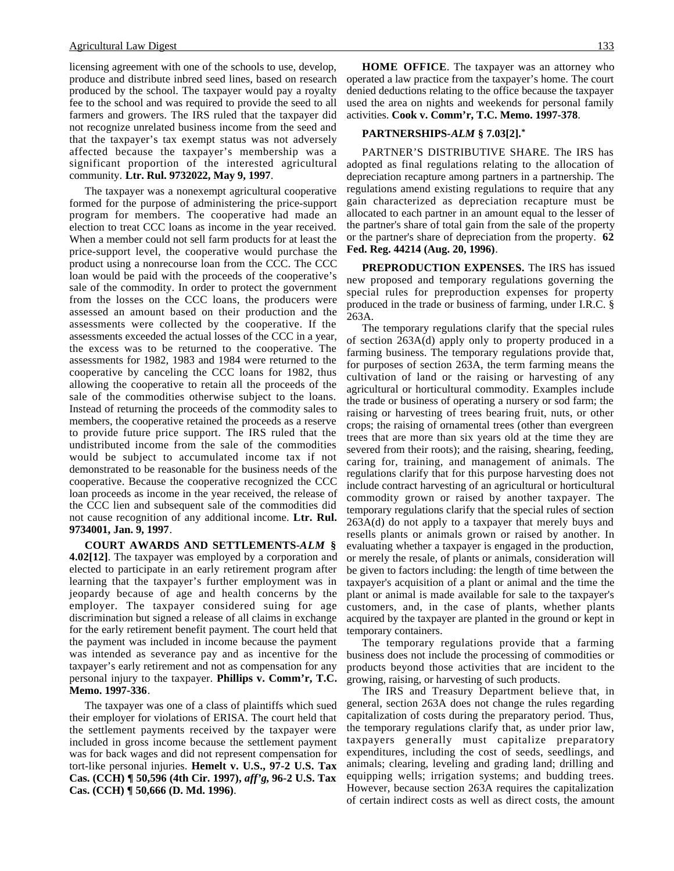#### Agricultural Law Digest 133

licensing agreement with one of the schools to use, develop, produce and distribute inbred seed lines, based on research produced by the school. The taxpayer would pay a royalty fee to the school and was required to provide the seed to all farmers and growers. The IRS ruled that the taxpayer did not recognize unrelated business income from the seed and that the taxpayer's tax exempt status was not adversely affected because the taxpayer's membership was a significant proportion of the interested agricultural community. **Ltr. Rul. 9732022, May 9, 1997**.

The taxpayer was a nonexempt agricultural cooperative formed for the purpose of administering the price-support program for members. The cooperative had made an election to treat CCC loans as income in the year received. When a member could not sell farm products for at least the price-support level, the cooperative would purchase the product using a nonrecourse loan from the CCC. The CCC loan would be paid with the proceeds of the cooperative's sale of the commodity. In order to protect the government from the losses on the CCC loans, the producers were assessed an amount based on their production and the assessments were collected by the cooperative. If the assessments exceeded the actual losses of the CCC in a year, the excess was to be returned to the cooperative. The assessments for 1982, 1983 and 1984 were returned to the cooperative by canceling the CCC loans for 1982, thus allowing the cooperative to retain all the proceeds of the sale of the commodities otherwise subject to the loans. Instead of returning the proceeds of the commodity sales to members, the cooperative retained the proceeds as a reserve to provide future price support. The IRS ruled that the undistributed income from the sale of the commodities would be subject to accumulated income tax if not demonstrated to be reasonable for the business needs of the cooperative. Because the cooperative recognized the CCC loan proceeds as income in the year received, the release of the CCC lien and subsequent sale of the commodities did not cause recognition of any additional income. **Ltr. Rul. 9734001, Jan. 9, 1997**.

**COURT AWARDS AND SETTLEMENTS-***ALM* **§ 4.02[12]**. The taxpayer was employed by a corporation and elected to participate in an early retirement program after learning that the taxpayer's further employment was in jeopardy because of age and health concerns by the employer. The taxpayer considered suing for age discrimination but signed a release of all claims in exchange for the early retirement benefit payment. The court held that the payment was included in income because the payment was intended as severance pay and as incentive for the taxpayer's early retirement and not as compensation for any personal injury to the taxpayer. **Phillips v. Comm'r, T.C. Memo. 1997-336**.

The taxpayer was one of a class of plaintiffs which sued their employer for violations of ERISA. The court held that the settlement payments received by the taxpayer were included in gross income because the settlement payment was for back wages and did not represent compensation for tort-like personal injuries. **Hemelt v. U.S., 97-2 U.S. Tax Cas. (CCH) ¶ 50,596 (4th Cir. 1997),** *aff'g***, 96-2 U.S. Tax Cas. (CCH) ¶ 50,666 (D. Md. 1996)**.

**HOME OFFICE**. The taxpayer was an attorney who operated a law practice from the taxpayer's home. The court denied deductions relating to the office because the taxpayer used the area on nights and weekends for personal family activities. **Cook v. Comm'r, T.C. Memo. 1997-378**.

## **PARTNERSHIPS-***ALM* **§ 7.03[2].\***

PARTNER'S DISTRIBUTIVE SHARE. The IRS has adopted as final regulations relating to the allocation of depreciation recapture among partners in a partnership. The regulations amend existing regulations to require that any gain characterized as depreciation recapture must be allocated to each partner in an amount equal to the lesser of the partner's share of total gain from the sale of the property or the partner's share of depreciation from the property. **62 Fed. Reg. 44214 (Aug. 20, 1996)**.

**PREPRODUCTION EXPENSES.** The IRS has issued new proposed and temporary regulations governing the special rules for preproduction expenses for property produced in the trade or business of farming, under I.R.C. § 263A.

The temporary regulations clarify that the special rules of section 263A(d) apply only to property produced in a farming business. The temporary regulations provide that, for purposes of section 263A, the term farming means the cultivation of land or the raising or harvesting of any agricultural or horticultural commodity. Examples include the trade or business of operating a nursery or sod farm; the raising or harvesting of trees bearing fruit, nuts, or other crops; the raising of ornamental trees (other than evergreen trees that are more than six years old at the time they are severed from their roots); and the raising, shearing, feeding, caring for, training, and management of animals. The regulations clarify that for this purpose harvesting does not include contract harvesting of an agricultural or horticultural commodity grown or raised by another taxpayer. The temporary regulations clarify that the special rules of section 263A(d) do not apply to a taxpayer that merely buys and resells plants or animals grown or raised by another. In evaluating whether a taxpayer is engaged in the production, or merely the resale, of plants or animals, consideration will be given to factors including: the length of time between the taxpayer's acquisition of a plant or animal and the time the plant or animal is made available for sale to the taxpayer's customers, and, in the case of plants, whether plants acquired by the taxpayer are planted in the ground or kept in temporary containers.

The temporary regulations provide that a farming business does not include the processing of commodities or products beyond those activities that are incident to the growing, raising, or harvesting of such products.

The IRS and Treasury Department believe that, in general, section 263A does not change the rules regarding capitalization of costs during the preparatory period. Thus, the temporary regulations clarify that, as under prior law, taxpayers generally must capitalize preparatory expenditures, including the cost of seeds, seedlings, and animals; clearing, leveling and grading land; drilling and equipping wells; irrigation systems; and budding trees. However, because section 263A requires the capitalization of certain indirect costs as well as direct costs, the amount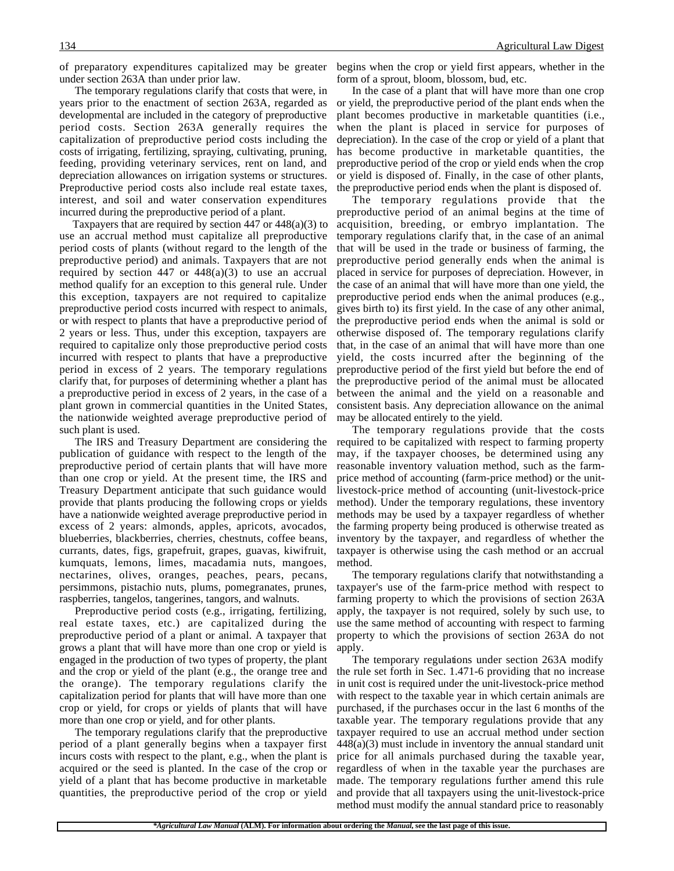under section 263A than under prior law.

The temporary regulations clarify that costs that were, in years prior to the enactment of section 263A, regarded as developmental are included in the category of preproductive period costs. Section 263A generally requires the capitalization of preproductive period costs including the costs of irrigating, fertilizing, spraying, cultivating, pruning, feeding, providing veterinary services, rent on land, and depreciation allowances on irrigation systems or structures. Preproductive period costs also include real estate taxes, interest, and soil and water conservation expenditures incurred during the preproductive period of a plant.

 Taxpayers that are required by section 447 or 448(a)(3) to use an accrual method must capitalize all preproductive period costs of plants (without regard to the length of the preproductive period) and animals. Taxpayers that are not required by section 447 or  $448(a)(3)$  to use an accrual method qualify for an exception to this general rule. Under this exception, taxpayers are not required to capitalize preproductive period costs incurred with respect to animals, or with respect to plants that have a preproductive period of 2 years or less. Thus, under this exception, taxpayers are required to capitalize only those preproductive period costs incurred with respect to plants that have a preproductive period in excess of 2 years. The temporary regulations clarify that, for purposes of determining whether a plant has a preproductive period in excess of 2 years, in the case of a plant grown in commercial quantities in the United States, the nationwide weighted average preproductive period of such plant is used.

The IRS and Treasury Department are considering the publication of guidance with respect to the length of the preproductive period of certain plants that will have more than one crop or yield. At the present time, the IRS and Treasury Department anticipate that such guidance would provide that plants producing the following crops or yields have a nationwide weighted average preproductive period in excess of 2 years: almonds, apples, apricots, avocados, blueberries, blackberries, cherries, chestnuts, coffee beans, currants, dates, figs, grapefruit, grapes, guavas, kiwifruit, kumquats, lemons, limes, macadamia nuts, mangoes, nectarines, olives, oranges, peaches, pears, pecans, persimmons, pistachio nuts, plums, pomegranates, prunes, raspberries, tangelos, tangerines, tangors, and walnuts.

Preproductive period costs (e.g., irrigating, fertilizing, real estate taxes, etc.) are capitalized during the preproductive period of a plant or animal. A taxpayer that grows a plant that will have more than one crop or yield is engaged in the production of two types of property, the plant and the crop or yield of the plant (e.g., the orange tree and the orange). The temporary regulations clarify the capitalization period for plants that will have more than one crop or yield, for crops or yields of plants that will have more than one crop or yield, and for other plants.

The temporary regulations clarify that the preproductive period of a plant generally begins when a taxpayer first incurs costs with respect to the plant, e.g., when the plant is acquired or the seed is planted. In the case of the crop or yield of a plant that has become productive in marketable quantities, the preproductive period of the crop or yield

of preparatory expenditures capitalized may be greater begins when the crop or yield first appears, whether in the form of a sprout, bloom, blossom, bud, etc.

> In the case of a plant that will have more than one crop or yield, the preproductive period of the plant ends when the plant becomes productive in marketable quantities (i.e., when the plant is placed in service for purposes of depreciation). In the case of the crop or yield of a plant that has become productive in marketable quantities, the preproductive period of the crop or yield ends when the crop or yield is disposed of. Finally, in the case of other plants, the preproductive period ends when the plant is disposed of.

> The temporary regulations provide that the preproductive period of an animal begins at the time of acquisition, breeding, or embryo implantation. The temporary regulations clarify that, in the case of an animal that will be used in the trade or business of farming, the preproductive period generally ends when the animal is placed in service for purposes of depreciation. However, in the case of an animal that will have more than one yield, the preproductive period ends when the animal produces (e.g., gives birth to) its first yield. In the case of any other animal, the preproductive period ends when the animal is sold or otherwise disposed of. The temporary regulations clarify that, in the case of an animal that will have more than one yield, the costs incurred after the beginning of the preproductive period of the first yield but before the end of the preproductive period of the animal must be allocated between the animal and the yield on a reasonable and consistent basis. Any depreciation allowance on the animal may be allocated entirely to the yield.

> The temporary regulations provide that the costs required to be capitalized with respect to farming property may, if the taxpayer chooses, be determined using any reasonable inventory valuation method, such as the farmprice method of accounting (farm-price method) or the unitlivestock-price method of accounting (unit-livestock-price method). Under the temporary regulations, these inventory methods may be used by a taxpayer regardless of whether the farming property being produced is otherwise treated as inventory by the taxpayer, and regardless of whether the taxpayer is otherwise using the cash method or an accrual method.

> The temporary regulations clarify that notwithstanding a taxpayer's use of the farm-price method with respect to farming property to which the provisions of section 263A apply, the taxpayer is not required, solely by such use, to use the same method of accounting with respect to farming property to which the provisions of section 263A do not apply.

> The temporary regulations under section 263A modify the rule set forth in Sec. 1.471-6 providing that no increase in unit cost is required under the unit-livestock-price method with respect to the taxable year in which certain animals are purchased, if the purchases occur in the last 6 months of the taxable year. The temporary regulations provide that any taxpayer required to use an accrual method under section 448(a)(3) must include in inventory the annual standard unit price for all animals purchased during the taxable year, regardless of when in the taxable year the purchases are made. The temporary regulations further amend this rule and provide that all taxpayers using the unit-livestock-price method must modify the annual standard price to reasonably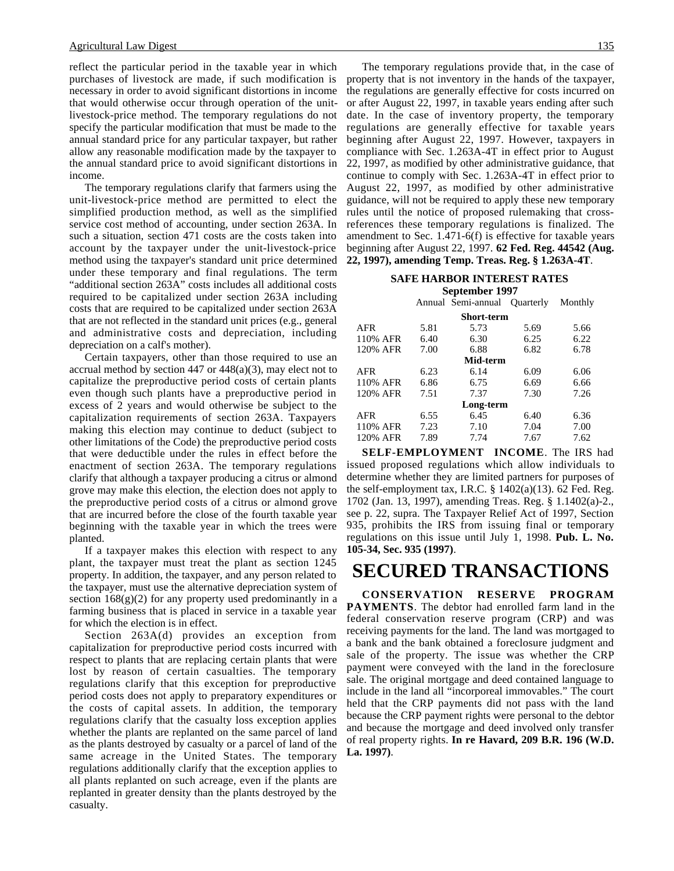reflect the particular period in the taxable year in which purchases of livestock are made, if such modification is necessary in order to avoid significant distortions in income that would otherwise occur through operation of the unitlivestock-price method. The temporary regulations do not specify the particular modification that must be made to the annual standard price for any particular taxpayer, but rather allow any reasonable modification made by the taxpayer to the annual standard price to avoid significant distortions in income.

The temporary regulations clarify that farmers using the unit-livestock-price method are permitted to elect the simplified production method, as well as the simplified service cost method of accounting, under section 263A. In such a situation, section 471 costs are the costs taken into account by the taxpayer under the unit-livestock-price method using the taxpayer's standard unit price determined under these temporary and final regulations. The term "additional section 263A" costs includes all additional costs required to be capitalized under section 263A including costs that are required to be capitalized under section 263A that are not reflected in the standard unit prices (e.g., general and administrative costs and depreciation, including depreciation on a calf's mother).

Certain taxpayers, other than those required to use an accrual method by section 447 or  $448(a)(3)$ , may elect not to capitalize the preproductive period costs of certain plants even though such plants have a preproductive period in excess of 2 years and would otherwise be subject to the capitalization requirements of section 263A. Taxpayers making this election may continue to deduct (subject to other limitations of the Code) the preproductive period costs that were deductible under the rules in effect before the enactment of section 263A. The temporary regulations clarify that although a taxpayer producing a citrus or almond grove may make this election, the election does not apply to the preproductive period costs of a citrus or almond grove that are incurred before the close of the fourth taxable year beginning with the taxable year in which the trees were planted.

If a taxpayer makes this election with respect to any plant, the taxpayer must treat the plant as section 1245 property. In addition, the taxpayer, and any person related to the taxpayer, must use the alternative depreciation system of section  $168(g)(2)$  for any property used predominantly in a farming business that is placed in service in a taxable year for which the election is in effect.

Section 263A(d) provides an exception from capitalization for preproductive period costs incurred with respect to plants that are replacing certain plants that were lost by reason of certain casualties. The temporary regulations clarify that this exception for preproductive period costs does not apply to preparatory expenditures or the costs of capital assets. In addition, the temporary regulations clarify that the casualty loss exception applies whether the plants are replanted on the same parcel of land as the plants destroyed by casualty or a parcel of land of the same acreage in the United States. The temporary regulations additionally clarify that the exception applies to all plants replanted on such acreage, even if the plants are replanted in greater density than the plants destroyed by the casualty.

The temporary regulations provide that, in the case of property that is not inventory in the hands of the taxpayer, the regulations are generally effective for costs incurred on or after August 22, 1997, in taxable years ending after such date. In the case of inventory property, the temporary regulations are generally effective for taxable years beginning after August 22, 1997. However, taxpayers in compliance with Sec. 1.263A-4T in effect prior to August 22, 1997, as modified by other administrative guidance, that continue to comply with Sec. 1.263A-4T in effect prior to August 22, 1997, as modified by other administrative guidance, will not be required to apply these new temporary rules until the notice of proposed rulemaking that crossreferences these temporary regulations is finalized. The amendment to Sec. 1.471-6(f) is effective for taxable years beginning after August 22, 1997. **62 Fed. Reg. 44542 (Aug. 22, 1997), amending Temp. Treas. Reg. § 1.263A-4T**.

#### **SAFE HARBOR INTEREST RATES September 1997**

|                   |      | Annual Semi-annual Quarterly |      | Monthly |  |
|-------------------|------|------------------------------|------|---------|--|
| <b>Short-term</b> |      |                              |      |         |  |
| <b>AFR</b>        | 5.81 | 5.73                         | 5.69 | 5.66    |  |
| 110% AFR          | 6.40 | 6.30                         | 6.25 | 6.22    |  |
| 120% AFR          | 7.00 | 6.88                         | 6.82 | 6.78    |  |
| Mid-term          |      |                              |      |         |  |
| <b>AFR</b>        | 6.23 | 6.14                         | 6.09 | 6.06    |  |
| 110% AFR          | 6.86 | 6.75                         | 6.69 | 6.66    |  |
| 120% AFR          | 7.51 | 7.37                         | 7.30 | 7.26    |  |
| Long-term         |      |                              |      |         |  |
| <b>AFR</b>        | 6.55 | 6.45                         | 6.40 | 6.36    |  |
| 110% AFR          | 7.23 | 7.10                         | 7.04 | 7.00    |  |
| 120% AFR          | 7.89 | 7.74                         | 7.67 | 7.62    |  |

**SELF-EMPLOYMENT INCOME**. The IRS had issued proposed regulations which allow individuals to determine whether they are limited partners for purposes of the self-employment tax, I.R.C.  $\S$  1402(a)(13). 62 Fed. Reg. 1702 (Jan. 13, 1997), amending Treas. Reg. § 1.1402(a)-2., see p. 22, supra. The Taxpayer Relief Act of 1997, Section 935, prohibits the IRS from issuing final or temporary regulations on this issue until July 1, 1998. **Pub. L. No. 105-34, Sec. 935 (1997)**.

## **SECURED TRANSACTIONS**

**CONSERVATION RESERVE PROGRAM PAYMENTS**. The debtor had enrolled farm land in the federal conservation reserve program (CRP) and was receiving payments for the land. The land was mortgaged to a bank and the bank obtained a foreclosure judgment and sale of the property. The issue was whether the CRP payment were conveyed with the land in the foreclosure sale. The original mortgage and deed contained language to include in the land all "incorporeal immovables." The court held that the CRP payments did not pass with the land because the CRP payment rights were personal to the debtor and because the mortgage and deed involved only transfer of real property rights. **In re Havard, 209 B.R. 196 (W.D. La. 1997)**.